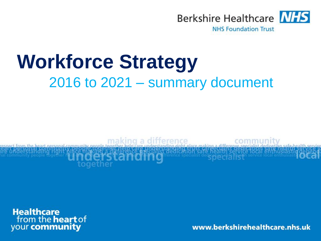

**NHS Foundation Trust** 

# **Workforce Strategy** 2016 to 2021 – summary document



**Healthcare**<br>from the **heart** of your community

www.berkshirehealthcare.nhs.uk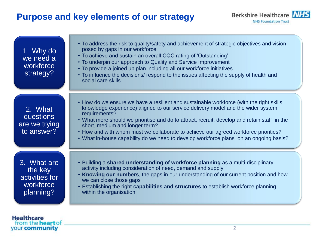# **Purpose and key elements of our strategy**



| 1. Why do<br>we need a<br>workforce<br>strategy?                   | • To address the risk to quality/safety and achievement of strategic objectives and vision<br>posed by gaps in our workforce<br>• To achieve and sustain an overall CQC rating of 'Outstanding'<br>• To underpin our approach to Quality and Service Improvement<br>• To provide a joined up plan including all our workforce initiatives<br>• To influence the decisions/ respond to the issues affecting the supply of health and<br>social care skills                                                       |
|--------------------------------------------------------------------|-----------------------------------------------------------------------------------------------------------------------------------------------------------------------------------------------------------------------------------------------------------------------------------------------------------------------------------------------------------------------------------------------------------------------------------------------------------------------------------------------------------------|
| 2. What<br>questions<br>are we trying<br>to answer?                | • How do we ensure we have a resilient and sustainable workforce (with the right skills,<br>knowledge experience) aligned to our service delivery model and the wider system<br>requirements?<br>. What more should we prioritise and do to attract, recruit, develop and retain staff in the<br>short, medium and longer term?<br>• How and with whom must we collaborate to achieve our agreed workforce priorities?<br>• What in-house capability do we need to develop workforce plans on an ongoing basis? |
| 3. What are<br>the key<br>activities for<br>workforce<br>planning? | • Building a shared understanding of workforce planning as a multi-disciplinary<br>activity including consideration of need, demand and supply<br>• Knowing our numbers, the gaps in our understanding of our current position and how<br>we can close those gaps<br>• Establishing the right capabilities and structures to establish workforce planning<br>within the organisation                                                                                                                            |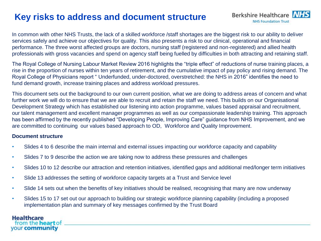# **Key risks to address and document structure**



In common with other NHS Trusts, the lack of a skilled workforce /staff shortages are the biggest risk to our ability to deliver services safely and achieve our objectives for quality. This also presents a risk to our clinical, operational and financial performance. The three worst affected groups are doctors, nursing staff (registered and non-registered) and allied health professionals with gross vacancies and spend on agency staff being fuelled by difficulties in both attracting and retaining staff.

The Royal College of Nursing Labour Market Review 2016 highlights the "triple effect" of reductions of nurse training places, a rise in the proportion of nurses within ten years of retirement, and the cumulative impact of pay policy and rising demand. The Royal College of Physicians report " Underfunded, under-doctored, overstretched: the NHS in 2016" identifies the need to fund demand growth, increase training places and address workload pressures.

This document sets out the background to our own current position, what we are doing to address areas of concern and what further work we will do to ensure that we are able to recruit and retain the staff we need. This builds on our Organisational Development Strategy which has established our listening into action programme, values based appraisal and recruitment, our talent management and excellent manager programmes as well as our compassionate leadership training. This approach has been affirmed by the recently published "Developing People, Improving Care" guidance from NHS Improvement, and we are committed to continuing our values based approach to OD, Workforce and Quality Improvement.

### **Document structure**

- Slides 4 to 6 describe the main internal and external issues impacting our workforce capacity and capability
- Slides 7 to 9 describe the action we are taking now to address these pressures and challenges
- Slides 10 to 12 describe our attraction and retention initiatives, identified gaps and additional med/longer term initiatives
- Slide 13 addresses the setting of workforce capacity targets at a Trust and Service level
- Slide 14 sets out when the benefits of key initiatives should be realised, recognising that many are now underway
- Slides 15 to 17 set out our approach to building our strategic workforce planning capability (including a proposed implementation plan and summary of key messages confirmed by the Trust Board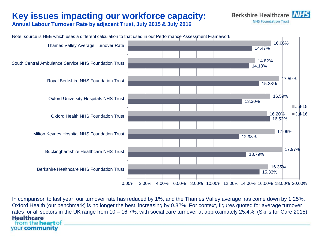# **Key issues impacting our workforce capacity:**



**Annual Labour Turnover Rate by adjacent Trust, July 2015 & July 2016**



In comparison to last year, our turnover rate has reduced by 1%, and the Thames Valley average has come down by 1.25%. Oxford Health (our benchmark) is no longer the best, increasing by 0.32%. For context, figures quoted for average turnover rates for all sectors in the UK range from 10 – 16.7%, with social care turnover at approximately 25.4% (Skills for Care 2015)**Healthcare** from the **heart** of your community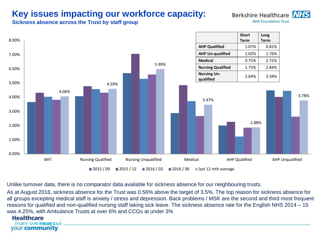# **Key issues impacting our workforce capacity:**

**Berkshire Healthcare NHS Foundation Trust** 

**Sickness absence across the Trust by staff group**



Unlike turnover data, there is no comparator data available for sickness absence for our neighbouring trusts.

As at August 2016, sickness absence for the Trust was 0.56% above the target of 3.5%. The top reason for sickness absence for all groups excepting medical staff is anxiety / stress and depression. Back problems / MSK are the second and third most frequent reasons for qualified and non-qualified nursing staff taking sick leave. The sickness absence rate for the English NHS 2014 – 15 was 4.25%, with Ambulance Trusts at over 6% and CCGs at under 3%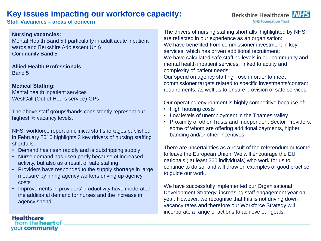### **Key issues impacting our workforce capacity:**

**Staff Vacancies – areas of concern** 

### **Nursing vacancies:**

Mental Health Band 5 ( particularly in adult acute inpatient wards and Berkshire Adolescent Unit) Community Band 5

**Allied Health Professionals:** Band 5

### **Medical Staffing:**

Mental health inpatient services WestCall (Out of Hours service) GPs

The above staff groups/bands consistently represent our highest % vacancy levels.

NHSI workforce report on clinical staff shortages published in February 2016 highlights 3 key drivers of nursing staffing shortfalls:

- Demand has risen rapidly and is outstripping supply
- Nurse demand has risen partly because of increased activity, but also as a result of safe staffing
- Providers have responded to the supply shortage in large measure by hiring agency workers driving up agency costs
- Improvements in providers' productivity have moderated the additional demand for nurses and the increase in agency spend

The drivers of nursing staffing shortfalls highlighted by NHSI are reflected in our experience as an organisation: We have benefited from commissioner investment in key services, which has driven additional recruitment; We have calculated safe staffing levels in our community and mental health inpatient services, linked to acuity and complexity of patient needs;

Our spend on agency staffing rose in order to meet commissioner targets related to specific investments/contract requirements, as well as to ensure provision of safe services.

Our operating environment is highly competitive because of:

- High housing costs
- Low levels of unemployment in the Thames Valley
- Proximity of other Trusts and Independent Sector Providers, some of whom are offering additional payments, higher banding and/or other incentives

There are uncertainties as a result of the referendum outcome to leave the European Union. We will encourage the EU nationals ( at least 260 individuals) who work for us to continue to do so, and will draw on examples of good practice to guide our work.

We have successfully implemented our Organisational Development Strategy, increasing staff engagement year on year. However, we recognise that this is not driving down vacancy rates and therefore our Workforce Strategy will incorporate a range of actions to achieve our goals.

**Healthcare** from the **heart** of your community

### Berkshire Healthcare NHS **NHS Foundation Trust**

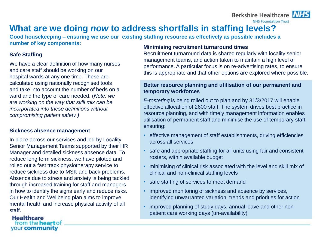# **What are we doing** *now* **to address shortfalls in staffing levels?**

**Good housekeeping – ensuring we use our existing staffing resource as effectively as possible includes a number of key components:** 

### **Safe Staffing**

We have a clear definition of how many nurses and care staff should be working on our hospital wards at any one time. These are calculated using nationally recognised tools and take into account the number of beds on a ward and the type of care needed. (*Note: we are working on the way that skill mix can be incorporated into these definitions without compromising patient safety )*

### **Sickness absence management**

In place across our services and led by Locality Senior Management Teams supported by their HR Manager and detailed sickness absence data. To reduce long term sickness, we have piloted and rolled out a fast track physiotherapy service to reduce sickness due to MSK and back problems. Absence due to stress and anxiety is being tackled through increased training for staff and managers in how to identify the signs early and reduce risks. Our Health and Wellbeing plan aims to improve mental health and increase physical activity of all staff.

#### **Healthcare** from the **heart** of your community

### **Minimising recruitment turnaround times**

Recruitment turnaround data is shared regularly with locality senior management teams, and action taken to maintain a high level of performance. A particular focus is on re-advertising rates, to ensure this is appropriate and that other options are explored where possible.

Berkshire Healthcare **NHS Foundation Trust** 

### **Better resource planning and utilisation of our permanent and temporary workforces**

*E-rostering* is being rolled out to plan and by 31/3/2017 will enable effective allocation of 2600 staff. The system drives best practice in resource planning, and with timely management information enables utilisation of permanent staff and minimise the use of temporary staff, ensuring:

- effective management of staff establishments, driving efficiencies across all services
- safe and appropriate staffing for all units using fair and consistent rosters, within available budget
- minimising of clinical risk associated with the level and skill mix of clinical and non-clinical staffing levels
- safe staffing of services to meet demand
- improved monitoring of sickness and absence by services, identifying unwarranted variation, trends and priorities for action
- improved planning of study days, annual leave and other nonpatient care working days (un-availability)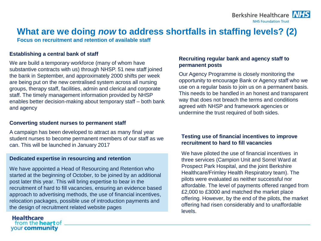Berkshire Healthcare N/ **NHS Foundation Trust** 



**Focus on recruitment and retention of available staff**

#### **Establishing a central bank of staff**

We are build a temporary workforce (many of whom have substantive contracts with us) through NHSP. 51 new staff joined the bank in September, and approximately 2000 shifts per week are being put on the new centralised system across all nursing groups, therapy staff, facilities, admin and clerical and corporate staff. The timely management information provided by NHSP enables better decision-making about temporary staff – both bank and agency

### **Converting student nurses to permanent staff**

A campaign has been developed to attract as many final year student nurses to become permanent members of our staff as we can. This will be launched in January 2017

### **Dedicated expertise in resourcing and retention**

We have appointed a Head of Resourcing and Retention who started at the beginning of October, to be joined by an additional post later this year. This will bring expertise to bear in the recruitment of hard to fill vacancies, ensuring an evidence based approach to advertising methods, the use of financial incentives, relocation packages, possible use of introduction payments and the design of recruitment related website pages

### **Recruiting regular bank and agency staff to permanent posts**

Our Agency Programme is closely monitoring the opportunity to encourage Bank or Agency staff who we use on a regular basis to join us on a permanent basis. This needs to be handled in an honest and transparent way that does not breach the terms and conditions agreed with NHSP and framework agencies or undermine the trust required of both sides.

### **Testing use of financial incentives to improve recruitment to hard to fill vacancies**

We have piloted the use of financial incentives in three services (Campion Unit and Sorrel Ward at Prospect Park Hospital, and the joint Berkshire Healthcare/Frimley Health Respiratory team). The pilots were evaluated as neither successful nor affordable. The level of payments offered ranged from £2,000 to £3000 and matched the market place offering. However, by the end of the pilots, the market offering had risen considerably and to unaffordable levels.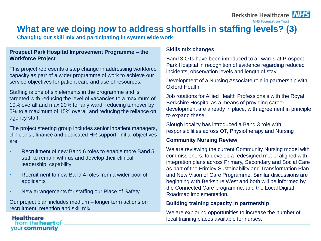### Berkshire Healthcare NHS

**NHS Foundation Trust** 



### **What are we doing** *now* **to address shortfalls in staffing levels? (3)**

**Changing our skill mix and participating in system wide work**

### **Prospect Park Hospital Improvement Programme – the Workforce Project**

This project represents a step change in addressing workforce capacity as part of a wider programme of work to achieve our service objectives for patient care and use of resources.

Staffing is one of six elements in the programme and is targeted with reducing the level of vacancies to a maximum of 10% overall and max 20% for any ward; reducing turnover by 5% to a maximum of 15% overall and reducing the reliance on agency staff.

The project steering group includes senior inpatient managers, clinicians , finance and dedicated HR support. Initial objectives are:

- Recruitment of new Band 6 roles to enable more Band 5 staff to remain with us and develop their clinical leadership capability
- Recruitment to new Band 4 roles from a wider pool of applicants
- New arrangements for staffing our Place of Safety

Our project plan includes medium – longer term actions on recruitment, retention and skill mix.

### **Skills mix changes**

Band 3 OTs have been introduced to all wards at Prospect Park Hospital in recognition of evidence regarding reduced incidents, observation levels and length of stay.

Development of a Nursing Associate role in partnership with Oxford Health.

Job rotations for Allied Health Professionals with the Royal Berkshire Hospital as a means of providing career development are already in place, with agreement in principle to expand these.

Slough locality has introduced a Band 3 role with responsibilities across OT, Physiotherapy and Nursing

### **Community Nursing Review**

We are reviewing the current Community Nursing model with commissioners, to develop a redesigned model aligned with integration plans across Primary, Secondary and Social Care as part of the Frimley Sustainability and Transformation Plan and New Vison of Care Programme. Similar discussions are beginning with Berkshire West and both will be informed by the Connected Care programme, and the Local Digital Roadmap implementation.

### **Building training capacity in partnership**

We are exploring opportunities to increase the number of local training places available for nurses.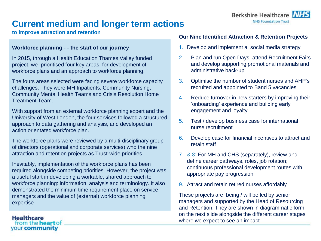

# **Current medium and longer term actions**

**to improve attraction and retention**

**Healthcare** 

from the **heart** of your community

### **Workforce planning - - the start of our journey**

In 2015, through a Health Education Thames Valley funded project, we prioritised four key areas for development of workforce plans and an approach to workforce planning.

The fours areas selected were facing severe workforce capacity challenges. They were MH Inpatients, Community Nursing, Community Mental Health Teams and Crisis Resolution Home Treatment Team.

With support from an external workforce planning expert and the University of West London, the four services followed a structured approach to data gathering and analysis, and developed an action orientated workforce plan.

The workforce plans were reviewed by a multi-disciplinary group of directors (operational and corporate services) who the nine attraction and retention projects as Trust-wide priorities.

Inevitably, implementation of the workforce plans has been required alongside competing priorities. However, the project was a useful start in developing a workable, shared approach to workforce planning: information, analysis and terminology. It also demonstrated the minimum time requirement place on service managers and the value of (external) workforce planning expertise.

### **Our Nine Identified Attraction & Retention Projects**

- 1. Develop and implement a social media strategy
- 2. Plan and run Open Days; attend Recruitment Fairs and develop supporting promotional materials and administrative back-up
- 3. Optimise the number of student nurses and AHP's recruited and appointed to Band 5 vacancies
- 4. Reduce turnover in new starters by improving their 'onboarding' experience and building early engagement and loyalty
- 5. Test / develop business case for international nurse recruitment
- 6. Develop case for financial incentives to attract and retain staff
- 7. & 8: For MH and CHS (separately), review and define career pathways, roles, job rotation; continuous professional development routes with appropriate pay progression
- 9. Attract and retain retired nurses affordably

These projects are being / will be led by senior managers and supported by the Head of Resourcing and Retention. They are shown in diagrammatic form on the next slide alongside the different career stages where we expect to see an impact.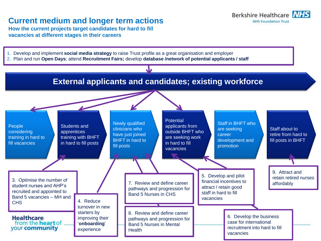### **Current medium and longer term actions**

**How the current projects target candidates for hard to fill vacancies at different stages in their careers**

- 1. Develop and implement **social media strategy** to raise Trust profile as a great organisation and employer
- 2. Plan and run **Open Days**; attend **Recruitment Fairs;** develop **database /network of potential applicants / staff**



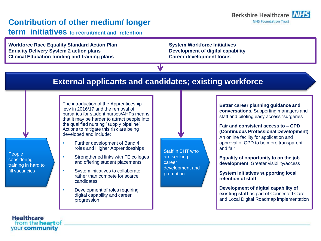### **Contribution of other medium/ longer**

**term initiatives to recruitment and retention**

**Workforce Race Equality Standard Action Plan System Workforce Initiatives Equality Delivery System 2 action plans Development of digital capability Clinical Education funding and training plans Career development focus** 

### **External applicants and candidates; existing workforce**

The introduction of the Apprenticeship levy in 2016/17 and the removal of bursaries for student nurses/AHPs means that it may be harder to attract people into the qualified nursing "supply pipeline". Actions to mitigate this risk are being developed and include:

- Further development of Band 4 roles and Higher Apprenticeships
- Strengthened links with FE colleges and offering student placements
- System initiatives to collaborate rather than compete for scarce candidates
- Development of roles requiring digital capability and career progression

Staff in BHT who are seeking career development and promotion

**Better career planning guidance and conversations.** Supporting managers and staff and piloting easy access "surgeries".

Berkshire Healthcare N/ **NHS Foundation Trust** 

**Fair and consistent access to – CPD (Continuous Professional Development)**  An online facility for application and approval of CPD to be more transparent and fair

**Equality of opportunity to on the job development.** Greater visibility/access

**System initiatives supporting local retention of staff**

**Development of digital capability of existing staff** as part of Connected Care and Local Digital Roadmap implementation

**Healthcare** from the **heart** of your community

People considering training in hard to fill vacancies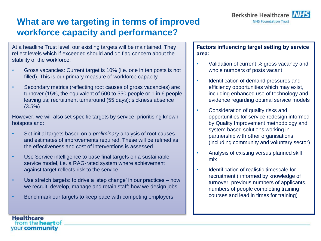

# **What are we targeting in terms of improved workforce capacity and performance?**

At a headline Trust level, our existing targets will be maintained. They reflect levels which if exceeded should and do flag concern about the stability of the workforce:

- Gross vacancies: Current target is 10% (i.e. one in ten posts is not filled). This is our primary measure of workforce capacity
- Secondary metrics (reflecting root causes of gross vacancies) are: turnover (15%, the equivalent of 500 to 550 people or 1 in 6 people leaving us; recruitment turnaround (55 days); sickness absence (3.5%)

However, we will also set specific targets by service, prioritising known hotspots and:

- Set initial targets based on a *preliminary* analysis of root causes and estimates of improvements required. These will be refined as the effectiveness and cost of interventions is assessed
- Use Service intelligence to base final targets on a sustainable service model, i.e. a RAG-rated system where achievement against target reflects risk to the service
- Use stretch targets: to drive a 'step change' in our practices how we recruit, develop, manage and retain staff; how we design jobs
- Benchmark our targets to keep pace with competing employers

**Healthcare** 

from the **heart** of your community

### **Factors influencing target setting by service area:**

- Validation of current % gross vacancy and whole numbers of posts vacant
- Identification of demand pressures and efficiency opportunities which may exist, including enhanced use of technology and evidence regarding optimal service models
- Consideration of quality risks and opportunities for service redesign informed by Quality Improvement methodology and system based solutions working in partnership with other organisations (including community and voluntary sector)
- Analysis of existing versus planned skill mix
- Identification of realistic timescale for recruitment ( informed by knowledge of turnover, previous numbers of applicants, numbers of people completing training courses and lead in times for training)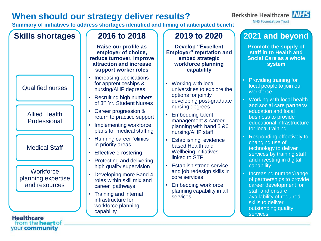# **When should our strategy deliver results?**

your community

**Summary of initiatives to address shortages identified and timing of anticipated benefit**



# **2021 and beyond**

**Berkshire Healthcare** NHS **NHS Foundation Trust** 

> **Promote the supply of staff in to Health and Social Care as a whole system**

- Providing training for local people to join our workforce
- Working with local health and social care partners/ education and local business to provide educational infrastructure for local training
- Responding effectively to changing use of technology to deliver services by training staff and investing in digital capability
- Increasing number/range of partnerships to provide career development for staff and ensure availability of required skills to deliver outstanding quality services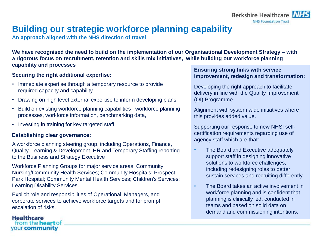

# **Building our strategic workforce planning capability**

**An approach aligned with the NHS direction of travel**

**We have recognised the need to build on the implementation of our Organisational Development Strategy – with a rigorous focus on recruitment, retention and skills mix initiatives, while building our workforce planning capability and processes**

### **Securing the right additional expertise:**

- Immediate expertise through a temporary resource to provide required capacity and capability
- Drawing on high level external expertise to inform developing plans
- Build on existing workforce planning capabilities : workforce planning processes, workforce information, benchmarking data,
- Investing in training for key targeted staff

### **Establishing clear governance:**

**Healthcare** 

from the **heart** of your community

A workforce planning steering group, including Operations, Finance, Quality, Learning & Development, HR and Temporary Staffing reporting to the Business and Strategy Executive

Workforce Planning Groups for major service areas: Community Nursing/Community Health Services; Community Hospitals; Prospect Park Hospital; Community Mental Health Services; Children's Services; Learning Disability Services.

Explicit role and responsibilities of Operational Managers, and corporate services to achieve workforce targets and for prompt escalation of risks.

### **Ensuring strong links with service improvement, redesign and transformation:**

Developing the right approach to facilitate delivery in line with the Quality Improvement (QI) Programme

Alignment with system wide initiatives where this provides added value.

Supporting our response to new NHSI selfcertification requirements regarding use of agency staff which are that:

- The Board and Executive adequately support staff in designing innovative solutions to workforce challenges, including redesigning roles to better sustain services and recruiting differently
- The Board takes an active involvement in workforce planning and is confident that planning is clinically led, conducted in teams and based on solid data on demand and commissioning intentions.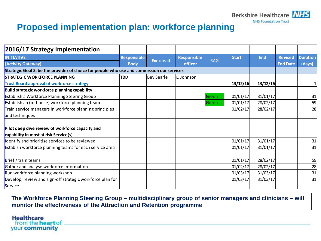

# **Proposed implementation plan: workforce planning**

| 2016/17 Strategy Implementation                                                            |                                   |                 |                               |            |              |            |                 |                 |
|--------------------------------------------------------------------------------------------|-----------------------------------|-----------------|-------------------------------|------------|--------------|------------|-----------------|-----------------|
| <b>INITIATIVE</b>                                                                          | <b>Responsible</b><br><b>Body</b> | <b>Execlead</b> | <b>Responsible</b><br>officer | <b>RAG</b> | <b>Start</b> | <b>End</b> | <b>Revised</b>  | <b>Duration</b> |
| (Activity Gateway)                                                                         |                                   |                 |                               |            |              |            | <b>End Date</b> | (days)          |
| Strategic Goal 3: be the provider of choice for people who use and commission our services |                                   |                 |                               |            |              |            |                 |                 |
| <b>STRATEGIC WORKFORCE PLANNING</b>                                                        | <b>TBD</b>                        | Bev Searle      | Johnson                       |            |              |            |                 |                 |
| <b>Trust Board approval of workforce strategy</b>                                          |                                   |                 |                               |            | 13/12/16     | 13/12/16   |                 |                 |
| Build strategic workforce planning capability                                              |                                   |                 |                               |            |              |            |                 |                 |
| Establish a Workforce Planning Steering Group                                              |                                   |                 |                               | Green      | 01/01/17     | 31/01/17   |                 | 31              |
| Establish an (in-house) workforce planning team                                            |                                   |                 |                               | lGreen     | 01/01/17     | 28/02/17   |                 | 59              |
| Train service managers in workforce planning principles                                    |                                   |                 |                               |            | 01/02/17     | 28/02/17   |                 | 28              |
| and techniques                                                                             |                                   |                 |                               |            |              |            |                 |                 |
| Pilot deep dive review of workforce capacity and                                           |                                   |                 |                               |            |              |            |                 |                 |
| capability in most at risk Service(s)                                                      |                                   |                 |                               |            |              |            |                 |                 |
| Identify and prioritise services to be reviewed                                            |                                   |                 |                               |            | 01/01/17     | 31/01/17   |                 | 31              |
| Estabish workforce planning teams for each service area                                    |                                   |                 |                               |            | 01/01/17     | 31/01/17   |                 | 31              |
| Brief / train teams                                                                        |                                   |                 |                               |            | 01/01/17     | 28/02/17   |                 | 59              |
| Gather and analyse workforce information                                                   |                                   |                 |                               |            | 01/02/17     | 28/02/17   |                 | 28              |
| Run workforce planning workshop                                                            |                                   |                 |                               |            | 01/03/17     | 31/03/17   |                 | 31              |
| Develop, review and sign-off strategic workforce plan for                                  |                                   |                 |                               |            | 01/03/17     | 31/03/17   |                 | 31              |
| Service                                                                                    |                                   |                 |                               |            |              |            |                 |                 |

**The Workforce Planning Steering Group – multidisciplinary group of senior managers and clinicians – will monitor the effectiveness of the Attraction and Retention programme**